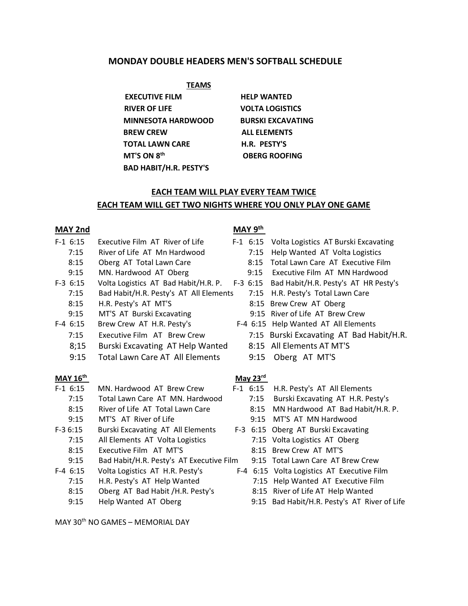# **MONDAY DOUBLE HEADERS MEN'S SOFTBALL SCHEDULE**

 **TEAMS**

**EXECUTIVE FILM HELP WANTED RIVER OF LIFE VOLTA LOGISTICS MINNESOTA HARDWOOD BURSKI EXCAVATING BREW CREW ALL ELEMENTS TOTAL LAWN CARE H.R. PESTY'S MT'S ON 8th BAD HABIT/H.R. PESTY'S**

 **OBERG ROOFING**

i<br>L

# **EACH TEAM WILL PLAY EVERY TEAM TWICE EACH TEAM WILL GET TWO NIGHTS WHERE YOU ONLY PLAY ONE GAME**

# **MAY 2nd MAY 9th**

| $F-1$ 6:15      | Executive Film AT River of Life               | $F-1$ 6:15           | Volta Logistics AT Burski Excavating         |
|-----------------|-----------------------------------------------|----------------------|----------------------------------------------|
| 7:15            | River of Life AT Mn Hardwood                  | 7:15                 | Help Wanted AT Volta Logistics               |
| 8:15            | Oberg AT Total Lawn Care                      | 8:15                 | Total Lawn Care AT Executive Film            |
| 9:15            | MN. Hardwood AT Oberg                         | 9:15                 | Executive Film AT MN Hardwood                |
| $F-3$ 6:15      | Volta Logistics AT Bad Habit/H.R. P. F-3 6:15 |                      | Bad Habit/H.R. Pesty's AT HR Pesty's         |
| 7:15            | Bad Habit/H.R. Pesty's AT All Elements        | 7:15                 | H.R. Pesty's Total Lawn Care                 |
| 8:15            | H.R. Pesty's AT MT'S                          |                      | 8:15 Brew Crew AT Oberg                      |
| 9:15            | MT'S AT Burski Excavating                     |                      | 9:15 River of Life AT Brew Crew              |
| $F-4$ 6:15      | Brew Crew AT H.R. Pesty's                     |                      | F-4 6:15 Help Wanted AT All Elements         |
| 7:15            | Executive Film AT Brew Crew                   |                      | 7:15 Burski Excavating AT Bad Habit/H.R.     |
| 8;15            | Burski Excavating AT Help Wanted              | 8:15                 | All Elements AT MT'S                         |
| 9:15            | <b>Total Lawn Care AT All Elements</b>        | 9:15                 | Oberg AT MT'S                                |
| <b>MAY 16th</b> |                                               | May $23^{\text{rd}}$ |                                              |
| $F-1$ 6:15      | MN. Hardwood AT Brew Crew                     | $F-1$ 6:15           | H.R. Pesty's AT All Elements                 |
| 7:15            | Total Lawn Care AT MN, Hardwood               | 7:15                 | Burski Excavating AT H.R. Pesty's            |
| 8:15            | River of Life AT Total Lawn Care              | 8:15                 | MN Hardwood AT Bad Habit/H.R. P.             |
| 9:15            | MT'S AT River of Life                         | 9:15                 | MT'S AT MN Hardwood                          |
| $F-36:15$       | Burski Excavating AT All Elements             | $F-3$ 6:15           | Oberg AT Burski Excavating                   |
| 7:15            | All Elements AT Volta Logistics               | 7:15                 | Volta Logistics AT Oberg                     |
| 8:15            | Executive Film AT MT'S                        | 8:15                 | <b>Brew Crew AT MT'S</b>                     |
| 9:15            | Bad Habit/H.R. Pesty's AT Executive Film      |                      | 9:15 Total Lawn Care AT Brew Crew            |
| $F-4$ 6:15      | Volta Logistics AT H.R. Pesty's               |                      | F-4 6:15 Volta Logistics AT Executive Film   |
| 7:15            | H.R. Pesty's AT Help Wanted                   | 7:15                 | Help Wanted AT Executive Film                |
| 8:15            | Oberg AT Bad Habit /H.R. Pesty's              |                      | 8:15 River of Life AT Help Wanted            |
| 9:15            | Help Wanted AT Oberg                          |                      | 9:15 Bad Habit/H.R. Pesty's AT River of Life |

MAY 30th NO GAMES – MEMORIAL DAY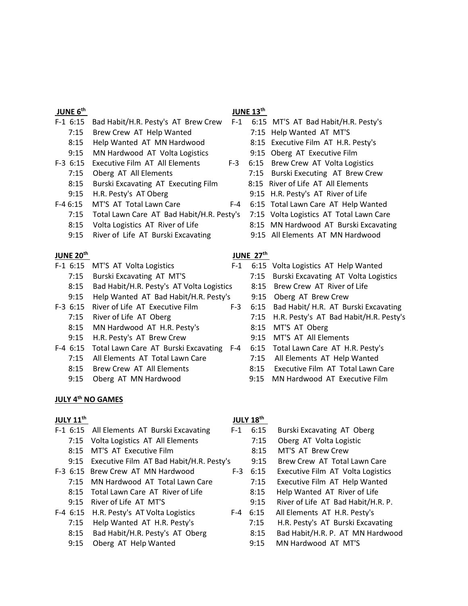#### **JUNE 6th**

## **JUNE 13th**

- F-1 6:15 Bad Habit/H.R. Pesty's AT Brew Crew F-1 6:15 MT'S AT Bad Habit/H.R. Pesty's 7:15 Brew Crew AT Help Wanted 7:15 Help Wanted AT MT'S
	-
	-
	-
	- 8:15 Burski Excavating AT Executing Film 8:15 River of Life AT All Elements
	-
- F-4 6:15 MT'S AT Total Lawn Care F-4 6:15 Total Lawn Care AT Help Wanted
	- 7:15 Total Lawn Care AT Bad Habit/H.R. Pesty's 7:15 Volta Logistics AT Total Lawn Care
	- 8:15 Volta Logistics AT River of Life 8:15 MN Hardwood AT Burski Excavating
	- 9:15 River of Life AT Burski Excavating 9:15 All Elements AT MN Hardwood

#### **JUNE 20th**

- -
	- 8:15 Bad Habit/H.R. Pesty's AT Volta Logistics 8:15 Brew Crew AT River of Life
	- 9:15 Help Wanted AT Bad Habit/H.R. Pesty's 9:15 Oberg AT Brew Crew
- -
	- 8:15 MN Hardwood AT H.R. Pesty's 8:15 MT'S AT Oberg
	- 9:15 H.R. Pesty's AT Brew Crew 9:15 MT'S AT All Elements
- F-4 6:15 Total Lawn Care AT Burski Excavating F-4 6:15 Total Lawn Care AT H.R. Pesty's
	- 7:15 All Elements AT Total Lawn Care 7:15 All Elements AT Help Wanted
	-
	-

#### **JULY 4th NO GAMES**

#### **JULY 11th**

- F-1 6:15 All Elements AT Burski Excavating F-1 6:15 Burski Excavating AT Oberg
	-
	-
	-
- -
	-
	-
- -
	-
	-

# *JULY 18<sup>th</sup>*

- 8:15 Help Wanted AT MN Hardwood 8:15 Executive Film AT H.R. Pesty's 9:15 MN Hardwood AT Volta Logistics 9:15 Oberg AT Executive Film F-3 6:15 Executive Film AT All Elements F-3 6:15 Brew Crew AT Volta Logistics 7:15 Oberg AT All Elements 7:15 Burski Executing AT Brew Crew 9:15 H.R. Pesty's AT Oberg 9:15 H.R. Pesty's AT River of Life
	-
	-
	-
	-
	- **JUNE 27th**

j.

- F-1 6:15 MT'S AT Volta Logistics F-1 6:15 Volta Logistics AT Help Wanted
	- 7:15 Burski Excavating AT MT'S 7:15 Burski Excavating AT Volta Logistics
		-
		-
- F-3 6:15 River of Life AT Executive Film F-3 6:15 Bad Habit/ H.R. AT Burski Excavating
	- 7:15 River of Life AT Oberg 7:15 H.R. Pesty's AT Bad Habit/H.R. Pesty's
		-
		-
		-
		-
	- 8:15 Brew Crew AT All Elements 8:15 Executive Film AT Total Lawn Care
	- 9:15 Oberg AT MN Hardwood 9:15 MN Hardwood AT Executive Film
		-
	- 7:15 Volta Logistics AT All Elements 7:15 Oberg AT Volta Logistic 8:15 MT'S AT Executive Film 8:15 MT'S AT Brew Crew
	- 9:15 Executive Film AT Bad Habit/H.R. Pesty's 9:15 Brew Crew AT Total Lawn Care
- F-3 6:15 Brew Crew AT MN Hardwood F-3 6:15 Executive Film AT Volta Logistics
	- 7:15 MN Hardwood AT Total Lawn Care 7:15 Executive Film AT Help Wanted
	- 8:15 Total Lawn Care AT River of Life 8:15 Help Wanted AT River of Life
	- 9:15 River of Life AT MT'S 9:15 River of Life AT Bad Habit/H.R. P.
- F-4 6:15 H.R. Pesty's AT Volta Logistics F-4 6:15 All Elements AT H.R. Pesty's
	- 7:15 Help Wanted AT H.R. Pesty's 7:15 H.R. Pesty's AT Burski Excavating
	- 8:15 Bad Habit/H.R. Pesty's AT Oberg 8:15 Bad Habit/H.R. P. AT MN Hardwood
	- 9:15 Oberg AT Help Wanted 9:15 MN Hardwood AT MT'S